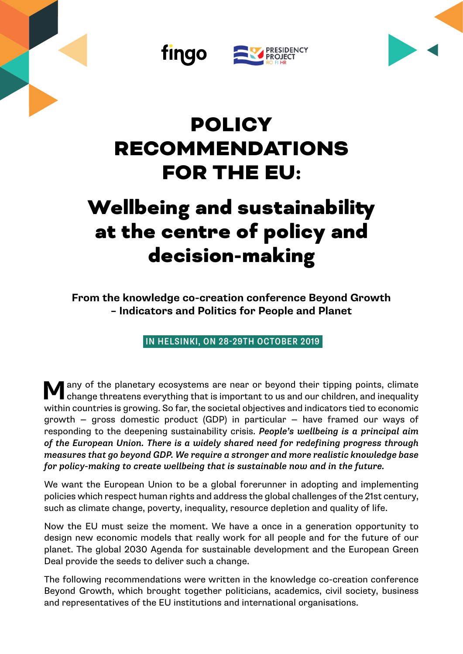





## POLICY RECOMMENDATIONS FOR THE EU:

# Wellbeing and sustainability at the centre of policy and decision-making

**From the knowledge co-creation conference Beyond Growth – Indicators and Politics for People and Planet**

IN HELSINKI, ON 28-29TH OCTOBER 2019

**M**any of the planetary ecosystems are near or beyond their tipping points, climate change threatens everything that is important to us and our children, and inequality within countries is growing. So far, the societal objectives and indicators tied to economic growth — gross domestic product (GDP) in particular — have framed our ways of responding to the deepening sustainability crisis. *People's wellbeing is a principal aim of the European Union. There is a widely shared need for redefining progress through measures that go beyond GDP. We require a stronger and more realistic knowledge base for policy-making to create wellbeing that is sustainable now and in the future.*

We want the European Union to be a global forerunner in adopting and implementing policies which respect human rights and address the global challenges of the 21st century, such as climate change, poverty, inequality, resource depletion and quality of life.

Now the EU must seize the moment. We have a once in a generation opportunity to design new economic models that really work for all people and for the future of our planet. The global 2030 Agenda for sustainable development and the European Green Deal provide the seeds to deliver such a change.

The following recommendations were written in the knowledge co-creation conference Beyond Growth, which brought together politicians, academics, civil society, business and representatives of the EU institutions and international organisations.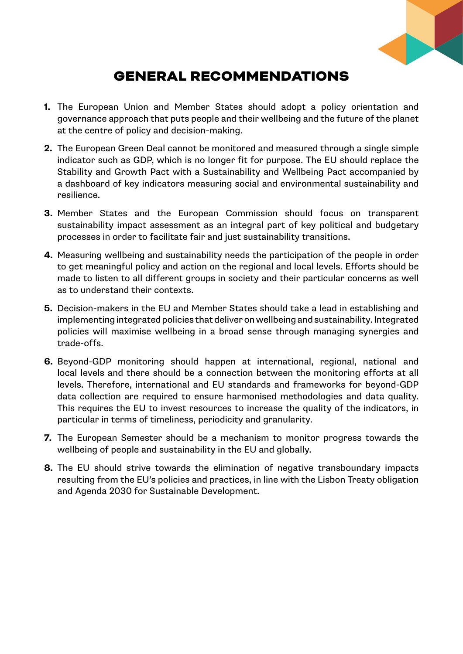

### GENERAL RECOMMENDATIONS

- **1.** The European Union and Member States should adopt a policy orientation and governance approach that puts people and their wellbeing and the future of the planet at the centre of policy and decision-making.
- **2.** The European Green Deal cannot be monitored and measured through a single simple indicator such as GDP, which is no longer fit for purpose. The EU should replace the Stability and Growth Pact with a Sustainability and Wellbeing Pact accompanied by a dashboard of key indicators measuring social and environmental sustainability and resilience.
- **3.** Member States and the European Commission should focus on transparent sustainability impact assessment as an integral part of key political and budgetary processes in order to facilitate fair and just sustainability transitions.
- **4.** Measuring wellbeing and sustainability needs the participation of the people in order to get meaningful policy and action on the regional and local levels. Efforts should be made to listen to all different groups in society and their particular concerns as well as to understand their contexts.
- **5.** Decision-makers in the EU and Member States should take a lead in establishing and implementing integrated policies that deliver on wellbeing and sustainability. Integrated policies will maximise wellbeing in a broad sense through managing synergies and trade-offs.
- **6.** Beyond-GDP monitoring should happen at international, regional, national and local levels and there should be a connection between the monitoring efforts at all levels. Therefore, international and EU standards and frameworks for beyond-GDP data collection are required to ensure harmonised methodologies and data quality. This requires the EU to invest resources to increase the quality of the indicators, in particular in terms of timeliness, periodicity and granularity.
- **7.** The European Semester should be a mechanism to monitor progress towards the wellbeing of people and sustainability in the EU and globally.
- **8.** The EU should strive towards the elimination of negative transboundary impacts resulting from the EU's policies and practices, in line with the Lisbon Treaty obligation and Agenda 2030 for Sustainable Development.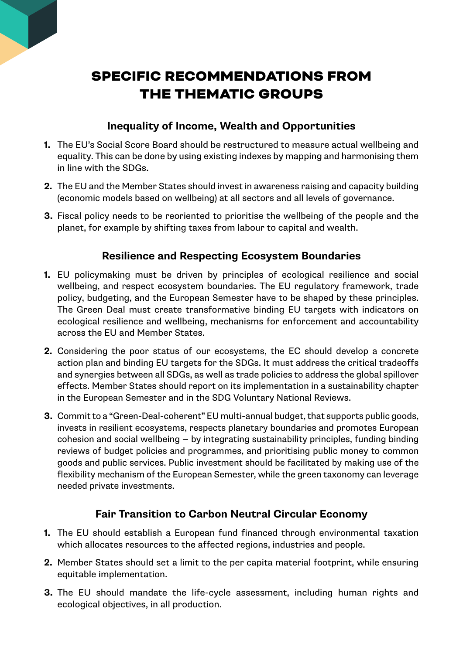### SPECIFIC RECOMMENDATIONS FROM THE THEMATIC GROUPS

#### **Inequality of Income, Wealth and Opportunities**

- **1.** The EU's Social Score Board should be restructured to measure actual wellbeing and equality. This can be done by using existing indexes by mapping and harmonising them in line with the SDGs.
- **2.** The EU and the Member States should invest in awareness raising and capacity building (economic models based on wellbeing) at all sectors and all levels of governance.
- **3.** Fiscal policy needs to be reoriented to prioritise the wellbeing of the people and the planet, for example by shifting taxes from labour to capital and wealth.

#### **Resilience and Respecting Ecosystem Boundaries**

- **1.** EU policymaking must be driven by principles of ecological resilience and social wellbeing, and respect ecosystem boundaries. The EU regulatory framework, trade policy, budgeting, and the European Semester have to be shaped by these principles. The Green Deal must create transformative binding EU targets with indicators on ecological resilience and wellbeing, mechanisms for enforcement and accountability across the EU and Member States.
- **2.** Considering the poor status of our ecosystems, the EC should develop a concrete action plan and binding EU targets for the SDGs. It must address the critical tradeoffs and synergies between all SDGs, as well as trade policies to address the global spillover effects. Member States should report on its implementation in a sustainability chapter in the European Semester and in the SDG Voluntary National Reviews.
- **3.** Commit to a "Green-Deal-coherent" EU multi-annual budget, that supports public goods, invests in resilient ecosystems, respects planetary boundaries and promotes European cohesion and social wellbeing — by integrating sustainability principles, funding binding reviews of budget policies and programmes, and prioritising public money to common goods and public services. Public investment should be facilitated by making use of the flexibility mechanism of the European Semester, while the green taxonomy can leverage needed private investments.

#### **Fair Transition to Carbon Neutral Circular Economy**

- **1.** The EU should establish a European fund financed through environmental taxation which allocates resources to the affected regions, industries and people.
- **2.** Member States should set a limit to the per capita material footprint, while ensuring equitable implementation.
- **3.** The EU should mandate the life-cycle assessment, including human rights and ecological objectives, in all production.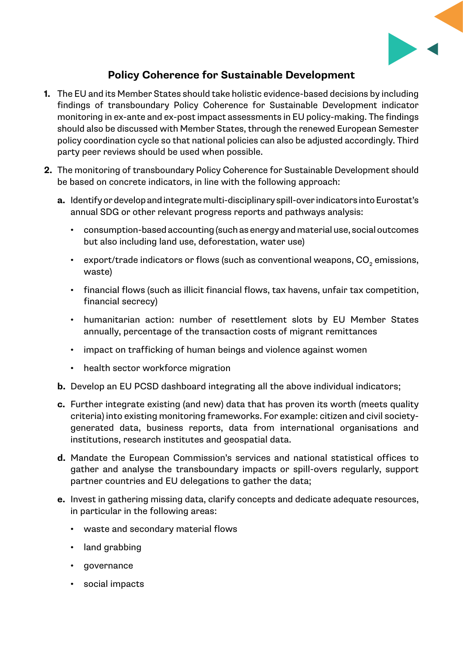

#### **Policy Coherence for Sustainable Development**

- **1.** The EU and its Member States should take holistic evidence-based decisions by including findings of transboundary Policy Coherence for Sustainable Development indicator monitoring in ex-ante and ex-post impact assessments in EU policy-making. The findings should also be discussed with Member States, through the renewed European Semester policy coordination cycle so that national policies can also be adjusted accordingly. Third party peer reviews should be used when possible.
- **2.** The monitoring of transboundary Policy Coherence for Sustainable Development should be based on concrete indicators, in line with the following approach:
	- **a.** Identify or develop and integrate multi-disciplinary spill-over indicators into Eurostat's annual SDG or other relevant progress reports and pathways analysis:
		- consumption-based accounting (such as energy and material use, social outcomes but also including land use, deforestation, water use)
		- $\;$  export/trade indicators or flows (such as conventional weapons, CO $_{_2}$  emissions, waste)
		- financial flows (such as illicit financial flows, tax havens, unfair tax competition, financial secrecy)
		- humanitarian action: number of resettlement slots by EU Member States annually, percentage of the transaction costs of migrant remittances
		- impact on trafficking of human beings and violence against women
		- health sector workforce migration
	- **b.** Develop an EU PCSD dashboard integrating all the above individual indicators;
	- **c.** Further integrate existing (and new) data that has proven its worth (meets quality criteria) into existing monitoring frameworks. For example: citizen and civil societygenerated data, business reports, data from international organisations and institutions, research institutes and geospatial data.
	- **d.** Mandate the European Commission's services and national statistical offices to gather and analyse the transboundary impacts or spill-overs regularly, support partner countries and EU delegations to gather the data;
	- **e.** Invest in gathering missing data, clarify concepts and dedicate adequate resources, in particular in the following areas:
		- waste and secondary material flows
		- land grabbing
		- governance
		- social impacts